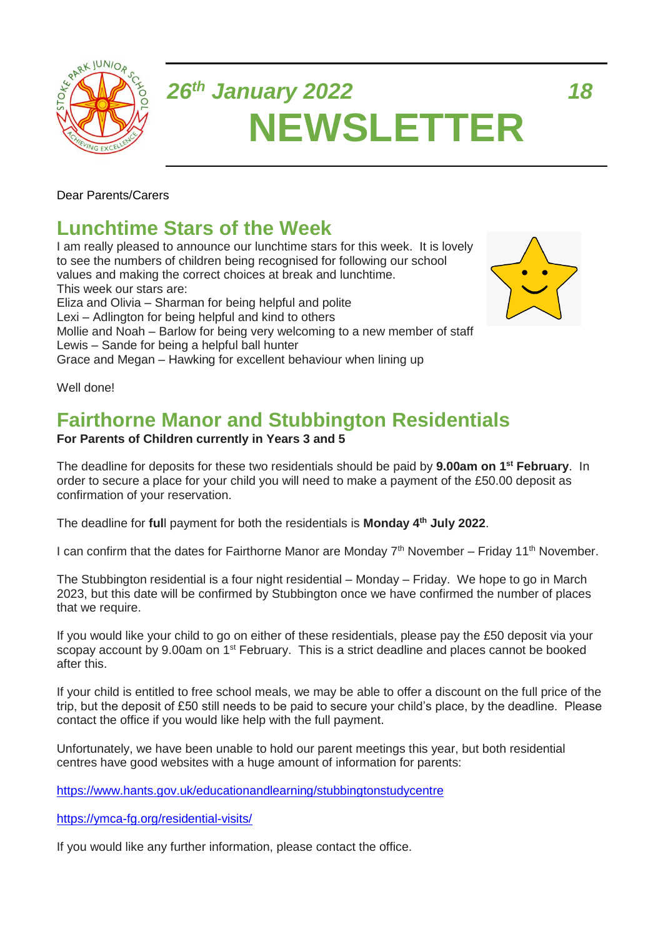

# *26th January 2022 18* **NEWSLETTER**

Dear Parents/Carers

## **Lunchtime Stars of the Week**

I am really pleased to announce our lunchtime stars for this week. It is lovely to see the numbers of children being recognised for following our school values and making the correct choices at break and lunchtime. This week our stars are: Eliza and Olivia – Sharman for being helpful and polite Lexi – Adlington for being helpful and kind to others Mollie and Noah – Barlow for being very welcoming to a new member of staff Lewis – Sande for being a helpful ball hunter Grace and Megan – Hawking for excellent behaviour when lining up



Well done!

# **Fairthorne Manor and Stubbington Residentials**

#### **For Parents of Children currently in Years 3 and 5**

The deadline for deposits for these two residentials should be paid by **9.00am on 1 st February**. In order to secure a place for your child you will need to make a payment of the £50.00 deposit as confirmation of your reservation.

The deadline for **ful**l payment for both the residentials is **Monday 4th July 2022**.

I can confirm that the dates for Fairthorne Manor are Monday  $7<sup>th</sup>$  November – Friday 11<sup>th</sup> November.

The Stubbington residential is a four night residential – Monday – Friday. We hope to go in March 2023, but this date will be confirmed by Stubbington once we have confirmed the number of places that we require.

If you would like your child to go on either of these residentials, please pay the £50 deposit via your scopay account by 9.00am on 1<sup>st</sup> February. This is a strict deadline and places cannot be booked after this.

If your child is entitled to free school meals, we may be able to offer a discount on the full price of the trip, but the deposit of £50 still needs to be paid to secure your child's place, by the deadline. Please contact the office if you would like help with the full payment.

Unfortunately, we have been unable to hold our parent meetings this year, but both residential centres have good websites with a huge amount of information for parents:

<https://www.hants.gov.uk/educationandlearning/stubbingtonstudycentre>

<https://ymca-fg.org/residential-visits/>

If you would like any further information, please contact the office.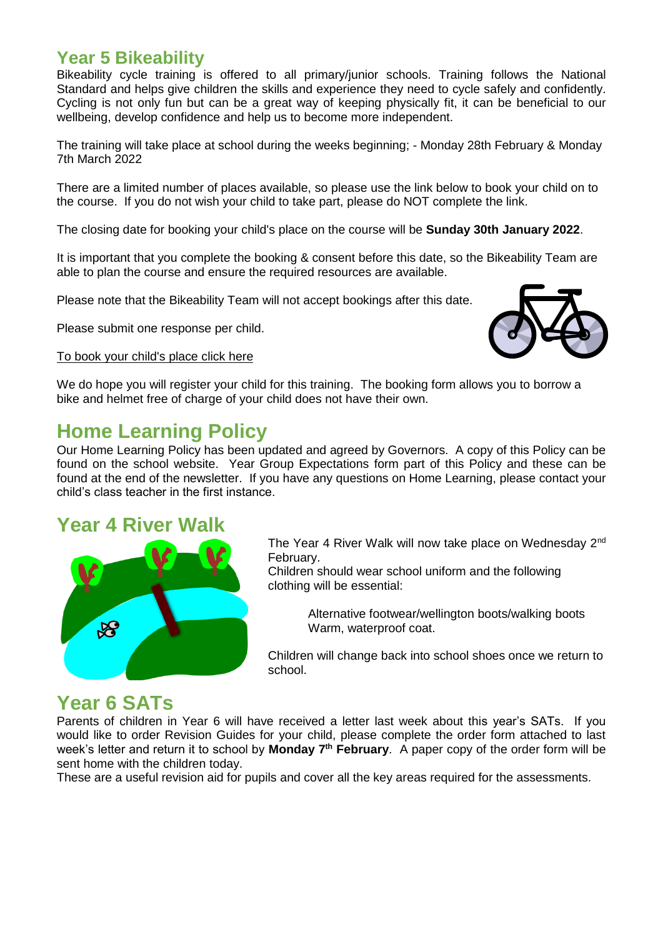#### **Year 5 Bikeability**

Bikeability cycle training is offered to all primary/junior schools. Training follows the National Standard and helps give children the skills and experience they need to cycle safely and confidently. Cycling is not only fun but can be a great way of keeping physically fit, it can be beneficial to our wellbeing, develop confidence and help us to become more independent.

The training will take place at school during the weeks beginning; - Monday 28th February & Monday 7th March 2022

There are a limited number of places available, so please use the link below to book your child on to the course. If you do not wish your child to take part, please do NOT complete the link.

The closing date for booking your child's place on the course will be **Sunday 30th January 2022**.

It is important that you complete the booking & consent before this date, so the Bikeability Team are able to plan the course and ensure the required resources are available.

Please note that the Bikeability Team will not accept bookings after this date.

Please submit one response per child.

#### To book your [child's](https://forms.gle/sp1mrPsEAkzeD62S8) place click here



We do hope you will register your child for this training. The booking form allows you to borrow a bike and helmet free of charge of your child does not have their own.

### **Home Learning Policy**

Our Home Learning Policy has been updated and agreed by Governors. A copy of this Policy can be found on the school website. Year Group Expectations form part of this Policy and these can be found at the end of the newsletter. If you have any questions on Home Learning, please contact your child's class teacher in the first instance.

#### **Year 4 River Walk**



The Year 4 River Walk will now take place on Wednesday 2nd February.

Children should wear school uniform and the following clothing will be essential:

> Alternative footwear/wellington boots/walking boots Warm, waterproof coat.

Children will change back into school shoes once we return to school.

### **Year 6 SATs**

Parents of children in Year 6 will have received a letter last week about this year's SATs. If you would like to order Revision Guides for your child, please complete the order form attached to last week's letter and return it to school by **Monday 7<sup>th</sup> February**. A paper copy of the order form will be sent home with the children today.

These are a useful revision aid for pupils and cover all the key areas required for the assessments.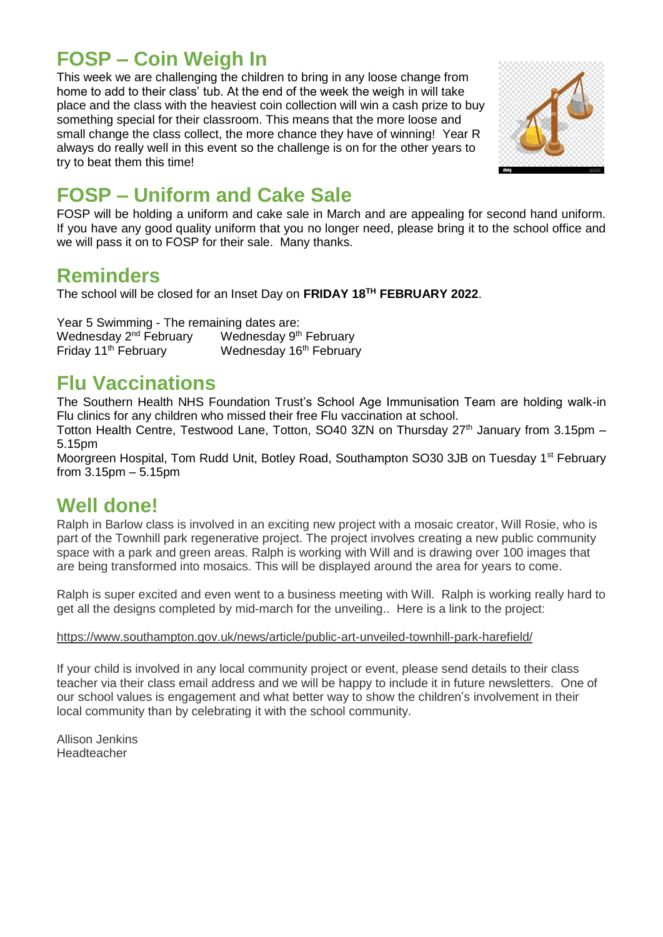## **FOSP – Coin Weigh In**

This week we are challenging the children to bring in any loose change from home to add to their class' tub. At the end of the week the weigh in will take place and the class with the heaviest coin collection will win a cash prize to buy something special for their classroom. This means that the more loose and small change the class collect, the more chance they have of winning! Year R always do really well in this event so the challenge is on for the other years to try to beat them this time!



# **FOSP – Uniform and Cake Sale**

FOSP will be holding a uniform and cake sale in March and are appealing for second hand uniform. If you have any good quality uniform that you no longer need, please bring it to the school office and we will pass it on to FOSP for their sale. Many thanks.

### **Reminders**

The school will be closed for an Inset Day on **FRIDAY 18TH FEBRUARY 2022**.

Year 5 Swimming - The remaining dates are: Wednesday  $2^{nd}$  February Wednesday  $9^{th}$  February<br>Friday 11<sup>th</sup> February Wednesday 16<sup>th</sup> Februar Wednesday 16<sup>th</sup> February

# **Flu Vaccinations**

The Southern Health NHS Foundation Trust's School Age Immunisation Team are holding walk-in Flu clinics for any children who missed their free Flu vaccination at school.

Totton Health Centre, Testwood Lane, Totton, SO40 3ZN on Thursday  $27<sup>th</sup>$  January from 3.15pm – 5.15pm

Moorgreen Hospital, Tom Rudd Unit, Botley Road, Southampton SO30 3JB on Tuesday 1<sup>st</sup> February from 3.15pm – 5.15pm

### **Well done!**

Ralph in Barlow class is involved in an exciting new project with a mosaic creator, Will Rosie, who is part of the Townhill park regenerative project. The project involves creating a new public community space with a park and green areas. Ralph is working with Will and is drawing over 100 images that are being transformed into mosaics. This will be displayed around the area for years to come.

Ralph is super excited and even went to a business meeting with Will. Ralph is working really hard to get all the designs completed by mid-march for the unveiling.. Here is a link to the project:

#### <https://www.southampton.gov.uk/news/article/public-art-unveiled-townhill-park-harefield/>

If your child is involved in any local community project or event, please send details to their class teacher via their class email address and we will be happy to include it in future newsletters. One of our school values is engagement and what better way to show the children's involvement in their local community than by celebrating it with the school community.

Allison Jenkins Headteacher